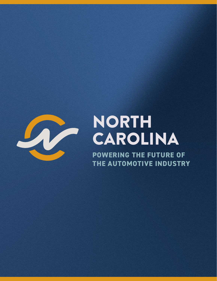

# NORTH CAROLINA

**POWERING THE FUTURE OF THE AUTOMOTIVE INDUSTRY**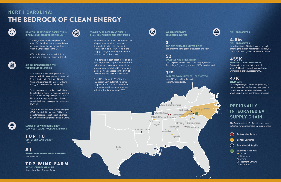

 $\bullet$ 





**Hyundai**



**Ford & SK Innovation**

## **NORTH CAROLINA:** THE BEDROCK OF CLEAN ENERGY



#### **GLOBAL HEADQUARTERS FOR TOP LITHIUM COMPANIES**

- NC is home to global headquarters for several top lithium companies in the world. Companies include: Piedmont Lithium, Albemarle, Livent and Center for Lithium Energy Advanced Research (CLEAR).
- These companies are actively evaluating the potential to restart mining operations in NC and are either expanding their current lithium processing capabilities or have plans to build out new capacities in the next few years.
- The presence of these companies along with NC's history in lithium means NC has one of the largest concentrations of advanced lithium processing experts outside of China.



**HOME TO LARGEST HARD ROCK LITHIUM (SPODUMENE) RESOURCE IN THE US** 

- The Kings Mountain Mining District in North Carolina (NC) is the largest known and highest quality spodumene (aka hard rock lithium) deposit in the US.
- NC's Lithium Belt is a historic lithium mining and producing region in the US.



#### **PROXIMITY TO IMPORTANT SUPPLY CHAIN COMPONENTS AND CUSTOMERS**

*Source: E2* **TOP 10 STATE FOR CLEAN ENERGY**

*Source: Oceana USA* **# 1 IN OFFSHORE WIND ENERGY POTENTIAL**

*Source: United States Geological Survey* **IN THE SOUTHEASTERN US**



- **Battery Customer**
- **Raw Material Supplier**
- **Charlotte Metro Area**
- **O** Arrival
- $\bigcirc$  Albemarle
- $\bigcirc$  Livent
- $\circ$  Piedmont Lithium
- $\circ$  SGL Carbon
- NC stands to be one of the top sources of spodumene and producers of lithium hydroxide with the ability to contribute to all four steps in the supply chain, eliminating the need to ship abroad mid-process.
- NC's strategic, east coast location and two deep-water seaports with on-dock rail offer easy access to domestic and international markets. NC companies also enjoy easy access to the Port of Norfolk and the Port of Charleston.
- Plus, NC is home to 25 of the top 100 global OEM automotive parts supplies in the US, 256 automotive companies and has an automotive industry that is growing at 20%.



### **TOP WIND FARM**

**LEADER IN LOW CARBON ENERGY SOURCES – SOLAR, NUCLEAR AND WIND**

### 4.8M

### 455K

#### **SKILLED WORKERS**

**SKILLED WORKERS**

### 47K **ENGINEERS**

Including about 18,000 military personnel reentering the civilian workforce each year, NC has one of the largest labor forces in the US.

**MANUFACTURING EMPLOYEES** Growing four percent in the last 10 years, NC has the largest manufacturing

workforce in the Southeastern US.

NC's engineering workforce has grown eight percent over the past five years, compared to the national average engineering workforce which has not grown over the past five years.

### 3

### 52



**TOP TIER RESEARCH UNIVERSITIES** that are at the cutting edge of education and R&D.

**WORLD-RENOWNED EDUCATION SYSTEM**

**COLLEGES AND UNIVERSITIES**  enrolling over 330k students, producing 29,000 Science, Technology, Engineering, and Math (STEM) grads annually.

**LARGEST COMMUNITY COLLEGE SYSTEM**  in the US with eight of the top ten in the US located in NC.

**Battery Manufacturer**

### **REGIONALLY INTEGRATED EV SUPPLY CHAIN**

The Southeastern US offers tremendous potential for an integrated EV supply chain.